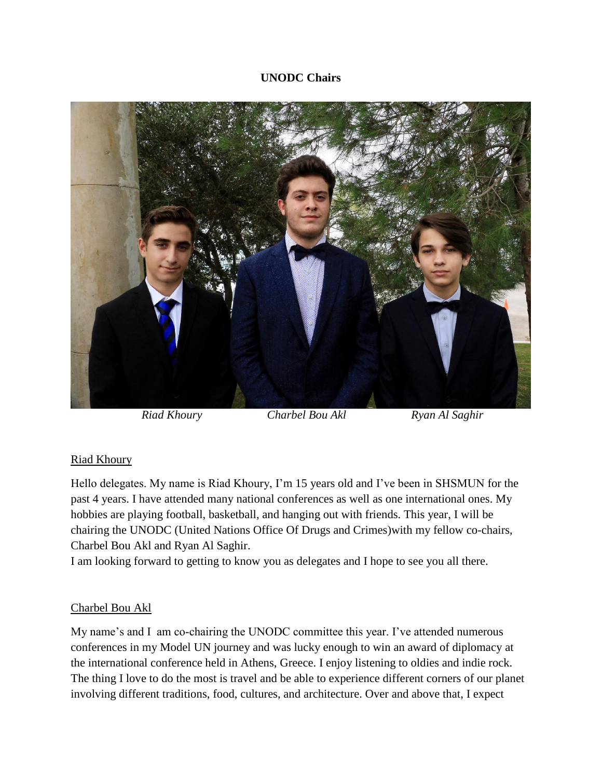## **UNODC Chairs**



*Riad Khoury* Charbel Bou Akl **Ryan Al Saghir** 

## Riad Khoury

Hello delegates. My name is Riad Khoury, I'm 15 years old and I've been in SHSMUN for the past 4 years. I have attended many national conferences as well as one international ones. My hobbies are playing football, basketball, and hanging out with friends. This year, I will be chairing the UNODC (United Nations Office Of Drugs and Crimes)with my fellow co-chairs, Charbel Bou Akl and Ryan Al Saghir.

I am looking forward to getting to know you as delegates and I hope to see you all there.

## Charbel Bou Akl

My name's and I am co-chairing the UNODC committee this year. I've attended numerous conferences in my Model UN journey and was lucky enough to win an award of diplomacy at the international conference held in Athens, Greece. I enjoy listening to oldies and indie rock. The thing I love to do the most is travel and be able to experience different corners of our planet involving different traditions, food, cultures, and architecture. Over and above that, I expect